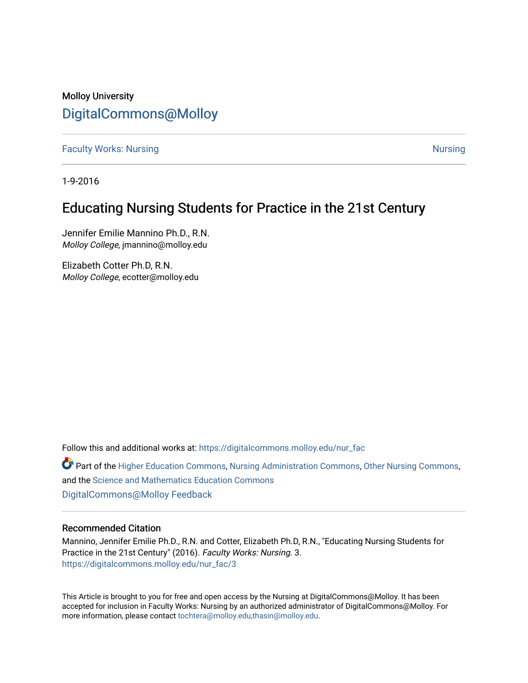# Molloy University [DigitalCommons@Molloy](https://digitalcommons.molloy.edu/)

**[Faculty Works: Nursing](https://digitalcommons.molloy.edu/nur_fac) [Nursing](https://digitalcommons.molloy.edu/nur) Nursing Nursing Nursing Nursing Nursing Nursing Nursing Nursing Nursing Nursing** 

1-9-2016

# Educating Nursing Students for Practice in the 21st Century

Jennifer Emilie Mannino Ph.D., R.N. Molloy College, jmannino@molloy.edu

Elizabeth Cotter Ph.D, R.N. Molloy College, ecotter@molloy.edu

Follow this and additional works at: [https://digitalcommons.molloy.edu/nur\\_fac](https://digitalcommons.molloy.edu/nur_fac?utm_source=digitalcommons.molloy.edu%2Fnur_fac%2F3&utm_medium=PDF&utm_campaign=PDFCoverPages)

**P** Part of the [Higher Education Commons,](https://network.bepress.com/hgg/discipline/1245?utm_source=digitalcommons.molloy.edu%2Fnur_fac%2F3&utm_medium=PDF&utm_campaign=PDFCoverPages) [Nursing Administration Commons,](https://network.bepress.com/hgg/discipline/719?utm_source=digitalcommons.molloy.edu%2Fnur_fac%2F3&utm_medium=PDF&utm_campaign=PDFCoverPages) [Other Nursing Commons](https://network.bepress.com/hgg/discipline/729?utm_source=digitalcommons.molloy.edu%2Fnur_fac%2F3&utm_medium=PDF&utm_campaign=PDFCoverPages), and the [Science and Mathematics Education Commons](https://network.bepress.com/hgg/discipline/800?utm_source=digitalcommons.molloy.edu%2Fnur_fac%2F3&utm_medium=PDF&utm_campaign=PDFCoverPages)  [DigitalCommons@Molloy Feedback](https://molloy.libwizard.com/f/dcfeedback)

# Recommended Citation

Mannino, Jennifer Emilie Ph.D., R.N. and Cotter, Elizabeth Ph.D, R.N., "Educating Nursing Students for Practice in the 21st Century" (2016). Faculty Works: Nursing. 3. [https://digitalcommons.molloy.edu/nur\\_fac/3](https://digitalcommons.molloy.edu/nur_fac/3?utm_source=digitalcommons.molloy.edu%2Fnur_fac%2F3&utm_medium=PDF&utm_campaign=PDFCoverPages)

This Article is brought to you for free and open access by the Nursing at DigitalCommons@Molloy. It has been accepted for inclusion in Faculty Works: Nursing by an authorized administrator of DigitalCommons@Molloy. For more information, please contact [tochtera@molloy.edu,thasin@molloy.edu.](mailto:tochtera@molloy.edu,thasin@molloy.edu)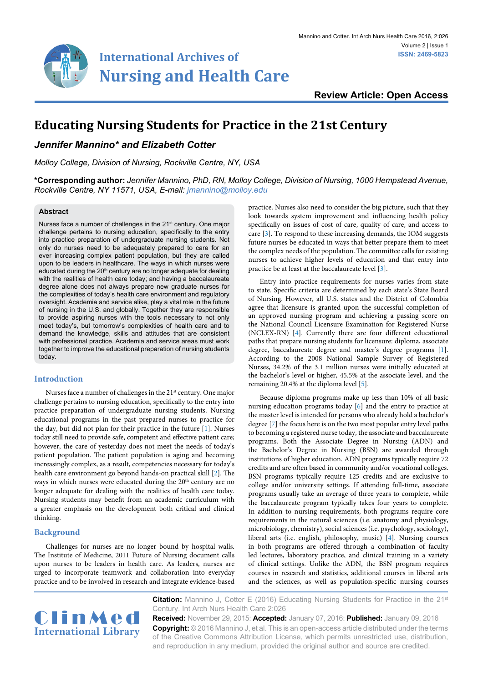

**Review Article: Open Access**

# **Educating Nursing Students for Practice in the 21st Century**

# *Jennifer Mannino\* and Elizabeth Cotter*

*Molloy College, Division of Nursing, Rockville Centre, NY, USA*

**\*Corresponding author:** *Jennifer Mannino, PhD, RN, Molloy College, Division of Nursing, 1000 Hempstead Avenue, Rockville Centre, NY 11571, USA, E-mail: jmannino@molloy.edu*

#### **Abstract**

Nurses face a number of challenges in the 21<sup>st</sup> century. One major challenge pertains to nursing education, specifically to the entry into practice preparation of undergraduate nursing students. Not only do nurses need to be adequately prepared to care for an ever increasing complex patient population, but they are called upon to be leaders in healthcare. The ways in which nurses were educated during the  $20<sup>th</sup>$  century are no longer adequate for dealing with the realities of health care today; and having a baccalaureate degree alone does not always prepare new graduate nurses for the complexities of today's health care environment and regulatory oversight. Academia and service alike, play a vital role in the future of nursing in the U.S. and globally. Together they are responsible to provide aspiring nurses with the tools necessary to not only meet today's, but tomorrow's complexities of health care and to demand the knowledge, skills and attitudes that are consistent with professional practice. Academia and service areas must work together to improve the educational preparation of nursing students today.

#### **Introduction**

Nurses face a number of challenges in the 21<sup>st</sup> century. One major challenge pertains to nursing education, specifically to the entry into practice preparation of undergraduate nursing students. Nursing educational programs in the past prepared nurses to practice for the day, but did not plan for their practice in the future [[1](#page-3-2)]. Nurses today still need to provide safe, competent and effective patient care; however, the care of yesterday does not meet the needs of today's patient population. The patient population is aging and becoming increasingly complex, as a result, competencies necessary for today's health care environment go beyond hands-on practical skill [[2](#page-3-6)]. The ways in which nurses were educated during the 20<sup>th</sup> century are no longer adequate for dealing with the realities of health care today. Nursing students may benefit from an academic curriculum with a greater emphasis on the development both critical and clinical thinking.

#### **Background**

Challenges for nurses are no longer bound by hospital walls. The Institute of Medicine, 2011 Future of Nursing document calls upon nurses to be leaders in health care. As leaders, nurses are urged to incorporate teamwork and collaboration into everyday practice and to be involved in research and integrate evidence-based

practice. Nurses also need to consider the big picture, such that they look towards system improvement and influencing health policy specifically on issues of cost of care, quality of care, and access to care [\[3\]](#page-3-0). To respond to these increasing demands, the IOM suggests future nurses be educated in ways that better prepare them to meet the complex needs of the population. The committee calls for existing nurses to achieve higher levels of education and that entry into practice be at least at the baccalaureate level [[3\]](#page-3-0).

Entry into practice requirements for nurses varies from state to state. Specific criteria are determined by each state's State Board of Nursing. However, all U.S. states and the District of Colombia agree that licensure is granted upon the successful completion of an approved nursing program and achieving a passing score on the National Council Licensure Examination for Registered Nurse (NCLEX-RN) [[4](#page-3-1)]. Currently there are four different educational paths that prepare nursing students for licensure: diploma, associate degree, baccalaureate degree and master's degree programs [\[1\]](#page-3-2). According to the 2008 National Sample Survey of Registered Nurses, 34.2% of the 3.1 million nurses were initially educated at the bachelor's level or higher, 45.5% at the associate level, and the remaining 20.4% at the diploma level [\[5\]](#page-3-3).

Because diploma programs make up less than 10% of all basic nursing education programs today [\[6\]](#page-3-4) and the entry to practice at the master level is intended for persons who already hold a bachelor's degree [[7](#page-3-5)] the focus here is on the two most popular entry level paths to becoming a registered nurse today, the associate and baccalaureate programs. Both the Associate Degree in Nursing (ADN) and the Bachelor's Degree in Nursing (BSN) are awarded through institutions of higher education. ADN programs typically require 72 credits and are often based in community and/or vocational colleges. BSN programs typically require 125 credits and are exclusive to college and/or university settings. If attending full-time, associate programs usually take an average of three years to complete, while the baccalaureate program typically takes four years to complete. In addition to nursing requirements, both programs require core requirements in the natural sciences (i.e. anatomy and physiology, microbiology, chemistry), social sciences (i.e. psychology, sociology), liberal arts (i.e. english, philosophy, music) [\[4\]](#page-3-1). Nursing courses in both programs are offered through a combination of faculty led lectures, laboratory practice, and clinical training in a variety of clinical settings. Unlike the ADN, the BSN program requires courses in research and statistics, additional courses in liberal arts and the sciences, as well as population-specific nursing courses



**Citation:** Mannino J, Cotter E (2016) Educating Nursing Students for Practice in the 21<sup>st</sup> Century. Int Arch Nurs Health Care 2:026

**Received:** November 29, 2015: **Accepted:** January 07, 2016: **Published:** January 09, 2016 **Copyright:** © 2016 Mannino J, et al. This is an open-access article distributed under the terms of the Creative Commons Attribution License, which permits unrestricted use, distribution, and reproduction in any medium, provided the original author and source are credited.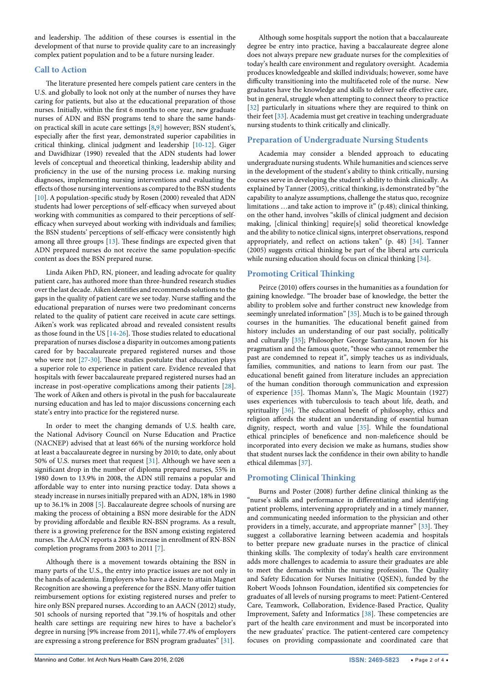and leadership. The addition of these courses is essential in the development of that nurse to provide quality care to an increasingly complex patient population and to be a future nursing leader.

## **Call to Action**

The literature presented here compels patient care centers in the U.S. and globally to look not only at the number of nurses they have caring for patients, but also at the educational preparation of those nurses. Initially, within the first 6 months to one year, new graduate nurses of ADN and BSN programs tend to share the same handson practical skill in acute care settings [\[8,](#page-3-7)[9\]](#page-3-8) however; BSN student's, especially after the first year, demonstrated superior capabilities in critical thinking, clinical judgment and leadership [\[10](#page-3-9)[-12\]](#page-3-10). Giger and Davidhizar (1990) revealed that the ADN students had lower levels of conceptual and theoretical thinking, leadership ability and proficiency in the use of the nursing process i.e. making nursing diagnoses, implementing nursing interventions and evaluating the effects of those nursing interventions as compared to the BSN students [[10](#page-3-9)]. A population-specific study by Rosen (2000) revealed that ADN students had lower perceptions of self-efficacy when surveyed about working with communities as compared to their perceptions of selfefficacy when surveyed about working with individuals and families; the BSN students' perceptions of self-efficacy were consistently high among all three groups [[13](#page-3-11)]. These findings are expected given that ADN prepared nurses do not receive the same population-specific content as does the BSN prepared nurse.

Linda Aiken PhD, RN, pioneer, and leading advocate for quality patient care, has authored more than three-hundred research studies over the last decade. Aiken identifies and recommends solutions to the gaps in the quality of patient care we see today. Nurse staffing and the educational preparation of nurses were two predominant concerns related to the quality of patient care received in acute care settings. Aiken's work was replicated abroad and revealed consistent results as those found in the US [[14-](#page-3-12)[26](#page-3-13)]. Those studies related to educational preparation of nurses disclose a disparity in outcomes among patients cared for by baccalaureate prepared registered nurses and those who were not [[27](#page-3-14)-[30](#page-3-15)]. These studies postulate that education plays a superior role to experience in patient care. Evidence revealed that hospitals with fewer baccalaureate prepared registered nurses had an increase in post-operative complications among their patients [[28](#page-3-16)]. The work of Aiken and others is pivotal in the push for baccalaureate nursing education and has led to major discussions concerning each state's entry into practice for the registered nurse.

In order to meet the changing demands of U.S. health care, the National Advisory Council on Nurse Education and Practice (NACNEP) advised that at least 66% of the nursing workforce hold at least a baccalaureate degree in nursing by 2010; to date, only about 50% of U.S. nurses meet that request [\[31\]](#page-4-0). Although we have seen a significant drop in the number of diploma prepared nurses, 55% in 1980 down to 13.9% in 2008, the ADN still remains a popular and affordable way to enter into nursing practice today. Data shows a steady increase in nurses initially prepared with an ADN, 18% in 1980 up to 36.1% in 2008 [[5\]](#page-3-3). Baccalaureate degree schools of nursing are making the process of obtaining a BSN more desirable for the ADN by providing affordable and flexible RN-BSN programs. As a result, there is a growing preference for the BSN among existing registered nurses. The AACN reports a 288% increase in enrollment of RN-BSN completion programs from 2003 to 2011 [[7](#page-3-5)].

Although there is a movement towards obtaining the BSN in many parts of the U.S., the entry into practice issues are not only in the hands of academia. Employers who have a desire to attain Magnet Recognition are showing a preference for the BSN. Many offer tuition reimbursement options for existing registered nurses and prefer to hire only BSN prepared nurses. According to an AACN (2012) study, 501 schools of nursing reported that "39.1% of hospitals and other health care settings are requiring new hires to have a bachelor's degree in nursing [9% increase from 2011], while 77.4% of employers are expressing a strong preference for BSN program graduates" [\[31\]](#page-4-0).

Although some hospitals support the notion that a baccalaureate degree be entry into practice, having a baccalaureate degree alone does not always prepare new graduate nurses for the complexities of today's health care environment and regulatory oversight. Academia produces knowledgeable and skilled individuals; however, some have difficulty transitioning into the multifaceted role of the nurse. New graduates have the knowledge and skills to deliver safe effective care, but in general, struggle when attempting to connect theory to practice [[32](#page-4-1)] particularly in situations where they are required to think on their feet [[33](#page-4-2)]. Academia must get creative in teaching undergraduate nursing students to think critically and clinically.

## **Preparation of Undergraduate Nursing Students**

Academia may consider a blended approach to educating undergraduate nursing students. While humanities and sciences serve in the development of the student's ability to think critically, nursing courses serve in developing the student's ability to think clinically. As explained by Tanner (2005), critical thinking, is demonstrated by "the capability to analyze assumptions, challenge the status quo, recognize limitations …and take action to improve it" (p.48); clinical thinking, on the other hand, involves "skills of clinical judgment and decision making, [clinical thinking] require[s] solid theoretical knowledge and the ability to notice clinical signs, interpret observations, respond appropriately, and reflect on actions taken" (p. 48) [\[34\]](#page-4-3). Tanner (2005) suggests critical thinking be part of the liberal arts curricula while nursing education should focus on clinical thinking [\[34\]](#page-4-3).

### **Promoting Critical Thinking**

Peirce (2010) offers courses in the humanities as a foundation for gaining knowledge. "The broader base of knowledge, the better the ability to problem solve and further construct new knowledge from seemingly unrelated information" [[35](#page-4-4)]. Much is to be gained through courses in the humanities. The educational benefit gained from history includes an understanding of our past socially, politically and culturally [[35](#page-4-4)]; Philosopher George Santayana, known for his pragmatism and the famous quote, "those who cannot remember the past are condemned to repeat it", simply teaches us as individuals, families, communities, and nations to learn from our past. The educational benefit gained from literature includes an appreciation of the human condition thorough communication and expression of experience [[35](#page-4-4)]. Thomas Mann's, The Magic Mountain (1927) uses experiences with tuberculosis to teach about life, death, and spirituality [\[36](#page-4-5)]. The educational benefit of philosophy, ethics and religion affords the student an understanding of essential human dignity, respect, worth and value [\[35\]](#page-4-4). While the foundational ethical principles of beneficence and non-maleficence should be incorporated into every decision we make as humans, studies show that student nurses lack the confidence in their own ability to handle ethical dilemmas [[37\]](#page-4-6).

## **Promoting Clinical Thinking**

Burns and Poster (2008) further define clinical thinking as the "nurse's skills and performance in differentiating and identifying patient problems, intervening appropriately and in a timely manner, and communicating needed information to the physician and other providers in a timely, accurate, and appropriate manner" [[33](#page-4-2)]. They suggest a collaborative learning between academia and hospitals to better prepare new graduate nurses in the practice of clinical thinking skills. The complexity of today's health care environment adds more challenges to academia to assure their graduates are able to meet the demands within the nursing profession. The Quality and Safety Education for Nurses Initiative (QSEN), funded by the Robert Woods Johnson Foundation, identified six competencies for graduates of all levels of nursing programs to meet: Patient-Centered Care, Teamwork, Collaboration, Evidence-Based Practice, Quality Improvement, Safety and Informatics [\[38\]](#page-4-7). These competencies are part of the health care environment and must be incorporated into the new graduates' practice. The patient-centered care competency focuses on providing compassionate and coordinated care that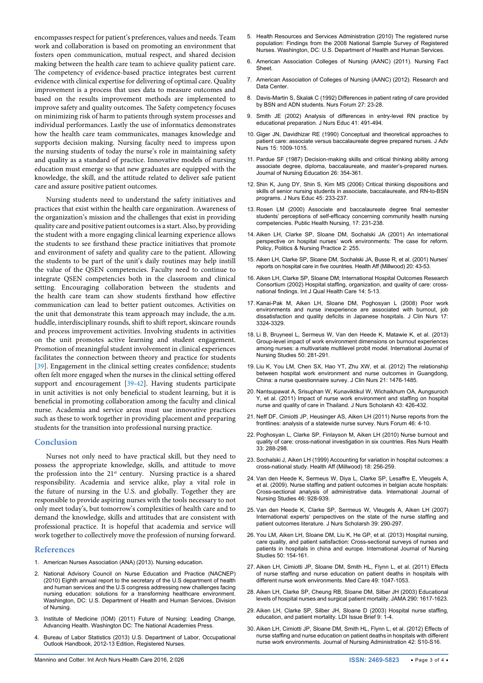encompasses respect for patient's preferences, values and needs. Team work and collaboration is based on promoting an environment that fosters open communication, mutual respect, and shared decision making between the health care team to achieve quality patient care. The competency of evidence-based practice integrates best current evidence with clinical expertise for delivering of optimal care. Quality improvement is a process that uses data to measure outcomes and based on the results improvement methods are implemented to improve safety and quality outcomes. The Safety competency focuses on minimizing risk of harm to patients through system processes and individual performances. Lastly the use of informatics demonstrates how the health care team communicates, manages knowledge and supports decision making. Nursing faculty need to impress upon the nursing students of today the nurse's role in maintaining safety and quality as a standard of practice. Innovative models of nursing education must emerge so that new graduates are equipped with the knowledge, the skill, and the attitude related to deliver safe patient care and assure positive patient outcomes.

Nursing students need to understand the safety initiatives and practices that exist within the health care organization. Awareness of the organization's mission and the challenges that exist in providing quality care and positive patient outcomes is a start. Also, by providing the student with a more engaging clinical learning experience allows the students to see firsthand these practice initiatives that promote and environment of safety and quality care to the patient. Allowing the students to be part of the unit's daily routines may help instill the value of the QSEN competencies. Faculty need to continue to integrate QSEN competencies both in the classroom and clinical setting. Encouraging collaboration between the students and the health care team can show students firsthand how effective communication can lead to better patient outcomes. Activities on the unit that demonstrate this team approach may include, the a.m. huddle, interdisciplinary rounds, shift to shift report, skincare rounds and process improvement activities. Involving students in activities on the unit promotes active learning and student engagement. Promotion of meaningful student involvement in clinical experiences facilitates the connection between theory and practice for students [[39](#page-4-8)]. Engagement in the clinical setting creates confidence; students often felt more engaged when the nurses in the clinical setting offered support and encouragement [\[39](#page-4-8)[-42\]](#page-4-9). Having students participate in unit activities is not only beneficial to student learning, but it is beneficial in promoting collaboration among the faculty and clinical nurse. Academia and service areas must use innovative practices such as these to work together in providing placement and preparing students for the transition into professional nursing practice.

### **Conclusion**

Nurses not only need to have practical skill, but they need to possess the appropriate knowledge, skills, and attitude to move the profession into the 21<sup>st</sup> century. Nursing practice is a shared responsibility. Academia and service alike, play a vital role in the future of nursing in the U.S. and globally. Together they are responsible to provide aspiring nurses with the tools necessary to not only meet today's, but tomorrow's complexities of health care and to demand the knowledge, skills and attitudes that are consistent with professional practice. It is hopeful that academia and service will work together to collectively move the profession of nursing forward.

#### **References**

- <span id="page-3-2"></span>1. [American Nurses Association \(ANA\) \(2013\). Nursing education.](http://nursingworld.org/HomepageCategory/NursingInsider/Archive-1/2012-NI/Sept-2012-NI/2013-NursingQualityConference.html)
- <span id="page-3-6"></span>2. [National Advisory Council on Nurse Education and Practice \(NACNEP\)](http://www.hrsa.gov/advisorycommittees/bhpradvisory/nacnep/Reports/eighthreport.pdf)  [\(2010\) Eighth annual report to the secretary of the U.S department of health](http://www.hrsa.gov/advisorycommittees/bhpradvisory/nacnep/Reports/eighthreport.pdf)  [and human services and the U.S congress addressing new challenges facing](http://www.hrsa.gov/advisorycommittees/bhpradvisory/nacnep/Reports/eighthreport.pdf)  [nursing education: solutions for a transforming healthcare environment.](http://www.hrsa.gov/advisorycommittees/bhpradvisory/nacnep/Reports/eighthreport.pdf)  [Washington, DC: U.S. Department of Health and Human Services, Division](http://www.hrsa.gov/advisorycommittees/bhpradvisory/nacnep/Reports/eighthreport.pdf)  [of Nursing.](http://www.hrsa.gov/advisorycommittees/bhpradvisory/nacnep/Reports/eighthreport.pdf)
- <span id="page-3-0"></span>3. [Institute of Medicine \(IOM\) \(2011\) Future of Nursing: Leading Change,](http://www.nap.edu/read/12956/chapter/1)  [Advancing Health. Washington DC: The National Academies Press.](http://www.nap.edu/read/12956/chapter/1)
- <span id="page-3-1"></span>4. [Bureau of Labor Statistics \(2013\) U.S. Department of Labor, Occupational](http://www.bls.gov/ooh/)  [Outlook Handbook, 2012-13 Edition, Registered Nurses.](http://www.bls.gov/ooh/)
- <span id="page-3-3"></span>5. [Health Resources and Services Administration \(2010\) The registered nurse](http://bhpr.hrsa.gov/healthworkforce/rnsurveys/rnsurveyfinal.pdf)  [population: Findings from the 2008 National Sample Survey of Registered](http://bhpr.hrsa.gov/healthworkforce/rnsurveys/rnsurveyfinal.pdf)  [Nurses. Washington, DC: U.S. Department of Health and Human Services.](http://bhpr.hrsa.gov/healthworkforce/rnsurveys/rnsurveyfinal.pdf)
- <span id="page-3-4"></span>6. [American Association Colleges of Nursing \(AANC\) \(2011\). Nursing Fact](http://www.aacn.nche.edu/media-relations/fact-sheets/nursing-shortage)  [Sheet](http://www.aacn.nche.edu/media-relations/fact-sheets/nursing-shortage).
- <span id="page-3-5"></span>7. [American Association of Colleges of Nursing \(AANC\) \(2012\). Research and](http://www.aacn.nche.edu/research-data/about-data-center)  [Data Center.](http://www.aacn.nche.edu/research-data/about-data-center)
- <span id="page-3-7"></span>8. [Davis-Martin S, Skalak C \(1992\) Differences in patient rating of care provided](http://www.ncbi.nlm.nih.gov/pubmed/1408952)  [by BSN and ADN students. Nurs Forum 27: 23-28.](http://www.ncbi.nlm.nih.gov/pubmed/1408952)
- <span id="page-3-8"></span>9. [Smith JE \(2002\) Analysis of differences in entry-level RN practice by](http://www.ncbi.nlm.nih.gov/pubmed/12437054)  [educational preparation. J Nurs Educ 41: 491-494.](http://www.ncbi.nlm.nih.gov/pubmed/12437054)
- <span id="page-3-9"></span>10. [Giger JN, Davidhizar RE \(1990\) Conceptual and theoretical approaches to](http://www.ncbi.nlm.nih.gov/pubmed/2229698)  [patient care: associate versus baccalaureate degree prepared nurses. J Adv](http://www.ncbi.nlm.nih.gov/pubmed/2229698)  [Nurs 15: 1009-1015.](http://www.ncbi.nlm.nih.gov/pubmed/2229698)
- 11. [Pardue SF \(1987\) Decision-making skills and critical thinking ability among](http://www.ncbi.nlm.nih.gov/pubmed/2830374)  [associate degree, diploma, baccalaureate, and master's-prepared nurses.](http://www.ncbi.nlm.nih.gov/pubmed/2830374)  [Journal of Nursing Education 26: 354-361.](http://www.ncbi.nlm.nih.gov/pubmed/2830374)
- <span id="page-3-10"></span>12. [Shin K, Jung DY, Shin S, Kim MS \(2006\) Critical thinking dispositions and](http://www.ncbi.nlm.nih.gov/pubmed/16780012)  [skills of senior nursing students in associate, baccalaureate, and RN-to-BSN](http://www.ncbi.nlm.nih.gov/pubmed/16780012)  [programs. J Nurs Educ 45: 233-237.](http://www.ncbi.nlm.nih.gov/pubmed/16780012)
- <span id="page-3-11"></span>13. [Rosen LM \(2000\) Associate and baccalaureate degree final semester](http://www.ncbi.nlm.nih.gov/pubmed/10943770)  [students' perceptions of self-efficacy concerning community health nursing](http://www.ncbi.nlm.nih.gov/pubmed/10943770)  [competencies. Public Health Nursing, 17: 231-238.](http://www.ncbi.nlm.nih.gov/pubmed/10943770)
- <span id="page-3-12"></span>14. [Aiken LH, Clarke SP, Sloane DM, Sochalski JA \(2001\) An international](http://ppn.sagepub.com/content/2/4/255.abstract)  [perspective on hospital nurses' work environments: The case for reform.](http://ppn.sagepub.com/content/2/4/255.abstract)  [Policy, Politics & Nursing Practice 2: 255.](http://ppn.sagepub.com/content/2/4/255.abstract)
- 15. [Aiken LH, Clarke SP, Sloane DM, Sochalski JA, Busse R, et al. \(2001\) Nurses'](http://www.ncbi.nlm.nih.gov/pubmed/11585181)  [reports on hospital care in five countries. Health Aff \(Millwood\) 20: 43-53.](http://www.ncbi.nlm.nih.gov/pubmed/11585181)
- 16. [Aiken LH, Clarke SP, Sloane DM; International Hospital Outcomes Research](http://www.ncbi.nlm.nih.gov/pubmed/11871630)  [Consortium \(2002\) Hospital staffing, organization, and quality of care: cross](http://www.ncbi.nlm.nih.gov/pubmed/11871630)[national findings. Int J Qual Health Care 14: 5-13.](http://www.ncbi.nlm.nih.gov/pubmed/11871630)
- 17. [Kanai-Pak M, Aiken LH, Sloane DM, Poghosyan L \(2008\) Poor work](http://www.ncbi.nlm.nih.gov/pubmed/19146591)  [environments and nurse inexperience are associated with burnout, job](http://www.ncbi.nlm.nih.gov/pubmed/19146591)  [dissatisfaction and quality deficits in Japanese hospitals. J Clin Nurs 17:](http://www.ncbi.nlm.nih.gov/pubmed/19146591)  [3324-3329.](http://www.ncbi.nlm.nih.gov/pubmed/19146591)
- 18. [Li B, Bruyneel L, Sermeus W, Van den Heede K, Matawie K, et al. \(2013\)](http://www.ncbi.nlm.nih.gov/pubmed/22831971)  [Group-level impact of work environment dimensions on burnout experiences](http://www.ncbi.nlm.nih.gov/pubmed/22831971)  [among nurses: a multivariate multilevel probit model. International Journal of](http://www.ncbi.nlm.nih.gov/pubmed/22831971)  [Nursing Studies 50: 281-291.](http://www.ncbi.nlm.nih.gov/pubmed/22831971)
- 19. [Liu K, You LM, Chen SX, Hao YT, Zhu XW, et al. \(2012\) The relationship](http://www.ncbi.nlm.nih.gov/pubmed/22380003)  [between hospital work environment and nurse outcomes in Guangdong,](http://www.ncbi.nlm.nih.gov/pubmed/22380003)  [China: a nurse questionnaire survey. J Clin Nurs 21: 1476-1485.](http://www.ncbi.nlm.nih.gov/pubmed/22380003)
- 20. [Nantsupawat A, Srisuphan W, Kunaviktikul W, Wichaikhum OA, Aungsuroch](http://www.ncbi.nlm.nih.gov/pubmed/22018093)  [Y, et al. \(2011\) Impact of nurse work environment and staffing on hospital](http://www.ncbi.nlm.nih.gov/pubmed/22018093)  [nurse and quality of care in Thailand. J Nurs Scholarsh 43: 426-432.](http://www.ncbi.nlm.nih.gov/pubmed/22018093)
- 21. [Neff DF, Cimiotti JP, Heusinger AS, Aiken LH \(2011\) Nurse reports from the](http://www.ncbi.nlm.nih.gov/pubmed/21306390)  [frontlines: analysis of a statewide nurse survey. Nurs Forum 46: 4-10.](http://www.ncbi.nlm.nih.gov/pubmed/21306390)
- 22. [Poghosyan L, Clarke SP, Finlayson M, Aiken LH \(2010\) Nurse burnout and](http://www.ncbi.nlm.nih.gov/pubmed/20645421)  [quality of care: cross-national investigation in six countries. Res Nurs Health](http://www.ncbi.nlm.nih.gov/pubmed/20645421)  [33: 288-298.](http://www.ncbi.nlm.nih.gov/pubmed/20645421)
- 23. [Sochalski J, Aiken LH \(1999\) Accounting for variation in hospital outcomes: a](http://www.ncbi.nlm.nih.gov/pubmed/10388223)  [cross-national study. Health Aff \(Millwood\) 18: 256-259.](http://www.ncbi.nlm.nih.gov/pubmed/10388223)
- 24. [Van den Heede K, Sermeus W, Diya L, Clarke SP, Lesaffre E, Vleugels A,](http://www.ncbi.nlm.nih.gov/pubmed/18656875)  [et al. \(2009\). Nurse staffing and patient outcomes in belgian acute hospitals:](http://www.ncbi.nlm.nih.gov/pubmed/18656875)  [Cross-sectional analysis of administrative data. International Journal of](http://www.ncbi.nlm.nih.gov/pubmed/18656875)  [Nursing Studies 46: 928-939.](http://www.ncbi.nlm.nih.gov/pubmed/18656875)
- 25. [Van den Heede K, Clarke SP, Sermeus W, Vleugels A, Aiken LH \(2007\)](http://www.ncbi.nlm.nih.gov/pubmed/18021127)  [International experts' perspectives on the state of the nurse staffing and](http://www.ncbi.nlm.nih.gov/pubmed/18021127)  [patient outcomes literature. J Nurs Scholarsh 39: 290-297.](http://www.ncbi.nlm.nih.gov/pubmed/18021127)
- <span id="page-3-13"></span>26. [You LM, Aiken LH, Sloane DM, Liu K, He GP, et al. \(2013\) Hospital nursing,](http://www.ncbi.nlm.nih.gov/pubmed/22658468)  [care quality, and patient satisfaction: Cross-sectional surveys of nurses and](http://www.ncbi.nlm.nih.gov/pubmed/22658468)  [patients in hospitals in china and europe. International Journal of Nursing](http://www.ncbi.nlm.nih.gov/pubmed/22658468)  [Studies 50: 154-161.](http://www.ncbi.nlm.nih.gov/pubmed/22658468)
- <span id="page-3-14"></span>27. [Aiken LH, Cimiotti JP, Sloane DM, Smith HL, Flynn L, et al. \(2011\) Effects](http://www.ncbi.nlm.nih.gov/pubmed/21945978)  [of nurse staffing and nurse education on patient deaths in hospitals with](http://www.ncbi.nlm.nih.gov/pubmed/21945978)  [different nurse work environments. Med Care 49: 1047-1053.](http://www.ncbi.nlm.nih.gov/pubmed/21945978)
- <span id="page-3-16"></span>28. [Aiken LH, Clarke SP, Cheung RB, Sloane DM, Silber JH \(2003\) Educational](http://www.ncbi.nlm.nih.gov/pubmed/14506121)  [levels of hospital nurses and surgical patient mortality. JAMA 290: 1617-1623.](http://www.ncbi.nlm.nih.gov/pubmed/14506121)
- 29. [Aiken LH, Clarke SP, Silber JH, Sloane D \(2003\) Hospital nurse staffing,](http://www.ncbi.nlm.nih.gov/pubmed/14621688)  [education, and patient mortality. LDI Issue Brief 9: 1-4.](http://www.ncbi.nlm.nih.gov/pubmed/14621688)
- <span id="page-3-15"></span>30. [Aiken LH, Cimiotti JP, Sloane DM, Smith HL, Flynn L, et al. \(2012\) Effects of](http://www.ncbi.nlm.nih.gov/pubmed/21945978)  [nurse staffing and nurse education on patient deaths in hospitals with different](http://www.ncbi.nlm.nih.gov/pubmed/21945978)  [nurse work environments. Journal of Nursing Administration 42: S10-S16.](http://www.ncbi.nlm.nih.gov/pubmed/21945978)